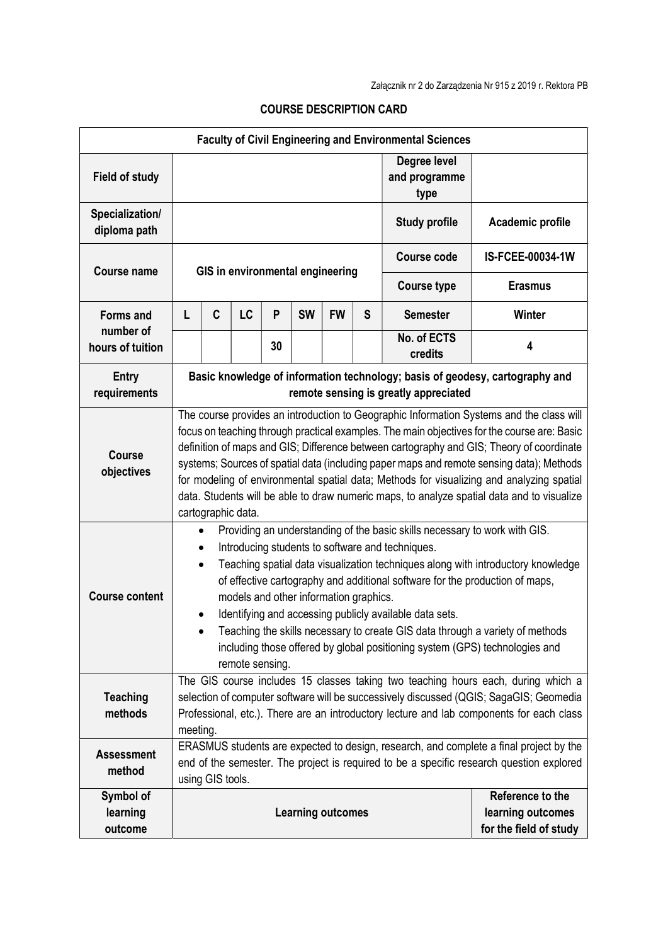| <b>Faculty of Civil Engineering and Environmental Sciences</b> |                                                                                                                                                                                                                                                                                                                                                                                                                                                                                                                                                                                                  |                                                                                                                                                                                                                                                                                                                                                                                                                                                                                                                                                                                                                      |    |    |                          |           |   |                                       |                                                                 |  |
|----------------------------------------------------------------|--------------------------------------------------------------------------------------------------------------------------------------------------------------------------------------------------------------------------------------------------------------------------------------------------------------------------------------------------------------------------------------------------------------------------------------------------------------------------------------------------------------------------------------------------------------------------------------------------|----------------------------------------------------------------------------------------------------------------------------------------------------------------------------------------------------------------------------------------------------------------------------------------------------------------------------------------------------------------------------------------------------------------------------------------------------------------------------------------------------------------------------------------------------------------------------------------------------------------------|----|----|--------------------------|-----------|---|---------------------------------------|-----------------------------------------------------------------|--|
| <b>Field of study</b>                                          |                                                                                                                                                                                                                                                                                                                                                                                                                                                                                                                                                                                                  |                                                                                                                                                                                                                                                                                                                                                                                                                                                                                                                                                                                                                      |    |    |                          |           |   | Degree level<br>and programme<br>type |                                                                 |  |
| Specialization/<br>diploma path                                |                                                                                                                                                                                                                                                                                                                                                                                                                                                                                                                                                                                                  |                                                                                                                                                                                                                                                                                                                                                                                                                                                                                                                                                                                                                      |    |    |                          |           |   | <b>Study profile</b>                  | Academic profile                                                |  |
| Course name                                                    | GIS in environmental engineering                                                                                                                                                                                                                                                                                                                                                                                                                                                                                                                                                                 |                                                                                                                                                                                                                                                                                                                                                                                                                                                                                                                                                                                                                      |    |    |                          |           |   | <b>Course code</b>                    | IS-FCEE-00034-1W                                                |  |
|                                                                |                                                                                                                                                                                                                                                                                                                                                                                                                                                                                                                                                                                                  |                                                                                                                                                                                                                                                                                                                                                                                                                                                                                                                                                                                                                      |    |    |                          |           |   | <b>Course type</b>                    | <b>Erasmus</b>                                                  |  |
| <b>Forms and</b>                                               | L                                                                                                                                                                                                                                                                                                                                                                                                                                                                                                                                                                                                | C                                                                                                                                                                                                                                                                                                                                                                                                                                                                                                                                                                                                                    | LC | P  | <b>SW</b>                | <b>FW</b> | S | <b>Semester</b>                       | <b>Winter</b>                                                   |  |
| number of<br>hours of tuition                                  |                                                                                                                                                                                                                                                                                                                                                                                                                                                                                                                                                                                                  |                                                                                                                                                                                                                                                                                                                                                                                                                                                                                                                                                                                                                      |    | 30 |                          |           |   | No. of ECTS<br>credits                | 4                                                               |  |
| <b>Entry</b><br>requirements                                   | Basic knowledge of information technology; basis of geodesy, cartography and<br>remote sensing is greatly appreciated                                                                                                                                                                                                                                                                                                                                                                                                                                                                            |                                                                                                                                                                                                                                                                                                                                                                                                                                                                                                                                                                                                                      |    |    |                          |           |   |                                       |                                                                 |  |
| <b>Course</b><br>objectives                                    | The course provides an introduction to Geographic Information Systems and the class will<br>focus on teaching through practical examples. The main objectives for the course are: Basic<br>definition of maps and GIS; Difference between cartography and GIS; Theory of coordinate<br>systems; Sources of spatial data (including paper maps and remote sensing data); Methods<br>for modeling of environmental spatial data; Methods for visualizing and analyzing spatial<br>data. Students will be able to draw numeric maps, to analyze spatial data and to visualize<br>cartographic data. |                                                                                                                                                                                                                                                                                                                                                                                                                                                                                                                                                                                                                      |    |    |                          |           |   |                                       |                                                                 |  |
| <b>Course content</b>                                          |                                                                                                                                                                                                                                                                                                                                                                                                                                                                                                                                                                                                  | Providing an understanding of the basic skills necessary to work with GIS.<br>$\bullet$<br>Introducing students to software and techniques.<br>Teaching spatial data visualization techniques along with introductory knowledge<br>$\bullet$<br>of effective cartography and additional software for the production of maps,<br>models and other information graphics.<br>Identifying and accessing publicly available data sets.<br>Teaching the skills necessary to create GIS data through a variety of methods<br>including those offered by global positioning system (GPS) technologies and<br>remote sensing. |    |    |                          |           |   |                                       |                                                                 |  |
| <b>Teaching</b><br>methods                                     | The GIS course includes 15 classes taking two teaching hours each, during which a<br>selection of computer software will be successively discussed (QGIS; SagaGIS; Geomedia<br>Professional, etc.). There are an introductory lecture and lab components for each class<br>meeting.                                                                                                                                                                                                                                                                                                              |                                                                                                                                                                                                                                                                                                                                                                                                                                                                                                                                                                                                                      |    |    |                          |           |   |                                       |                                                                 |  |
| <b>Assessment</b><br>method                                    | ERASMUS students are expected to design, research, and complete a final project by the<br>end of the semester. The project is required to be a specific research question explored<br>using GIS tools.                                                                                                                                                                                                                                                                                                                                                                                           |                                                                                                                                                                                                                                                                                                                                                                                                                                                                                                                                                                                                                      |    |    |                          |           |   |                                       |                                                                 |  |
| Symbol of<br>learning<br>outcome                               |                                                                                                                                                                                                                                                                                                                                                                                                                                                                                                                                                                                                  |                                                                                                                                                                                                                                                                                                                                                                                                                                                                                                                                                                                                                      |    |    | <b>Learning outcomes</b> |           |   |                                       | Reference to the<br>learning outcomes<br>for the field of study |  |

## COURSE DESCRIPTION CARD